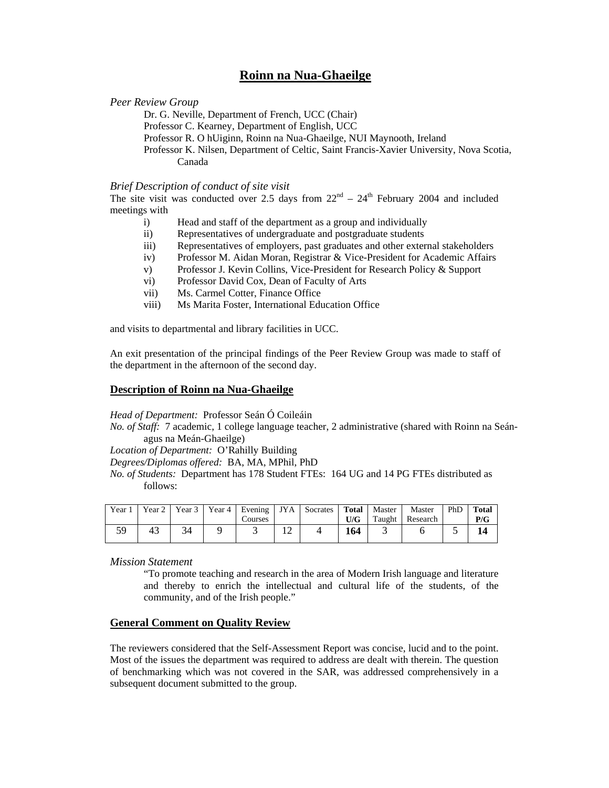# **Roinn na Nua-Ghaeilge**

#### *Peer Review Group*

Dr. G. Neville, Department of French, UCC (Chair) Professor C. Kearney, Department of English, UCC Professor R. O hUiginn, Roinn na Nua-Ghaeilge, NUI Maynooth, Ireland Professor K. Nilsen, Department of Celtic, Saint Francis-Xavier University, Nova Scotia, Canada

#### *Brief Description of conduct of site visit*

The site visit was conducted over 2.5 days from  $22<sup>nd</sup> - 24<sup>th</sup>$  February 2004 and included meetings with

- i) Head and staff of the department as a group and individually
- ii) Representatives of undergraduate and postgraduate students
- iii) Representatives of employers, past graduates and other external stakeholders
- iv) Professor M. Aidan Moran, Registrar & Vice-President for Academic Affairs
- v) Professor J. Kevin Collins, Vice-President for Research Policy & Support
- vi) Professor David Cox, Dean of Faculty of Arts
- vii) Ms. Carmel Cotter, Finance Office
- viii) Ms Marita Foster, International Education Office

and visits to departmental and library facilities in UCC.

An exit presentation of the principal findings of the Peer Review Group was made to staff of the department in the afternoon of the second day.

#### **Description of Roinn na Nua-Ghaeilge**

*Head of Department:* Professor Seán Ó Coileáin

*No. of Staff:* 7 academic, 1 college language teacher, 2 administrative (shared with Roinn na Seánagus na Meán-Ghaeilge)

*Location of Department:* O'Rahilly Building

*Degrees/Diplomas offered:* BA, MA, MPhil, PhD

*No. of Students:* Department has 178 Student FTEs: 164 UG and 14 PG FTEs distributed as follows:

| Year | Year $2$ |  | Courses |   | Year 3   Year 4   Evening   JYA   Socrates   Total | U/G | Master | Master<br>Taught Research | PhD | <b>Total</b><br>P/G |
|------|----------|--|---------|---|----------------------------------------------------|-----|--------|---------------------------|-----|---------------------|
| 50   | 43       |  |         | ∸ |                                                    | 164 |        |                           |     |                     |

*Mission Statement*

"To promote teaching and research in the area of Modern Irish language and literature and thereby to enrich the intellectual and cultural life of the students, of the community, and of the Irish people."

## **General Comment on Quality Review**

The reviewers considered that the Self-Assessment Report was concise, lucid and to the point. Most of the issues the department was required to address are dealt with therein. The question of benchmarking which was not covered in the SAR, was addressed comprehensively in a subsequent document submitted to the group.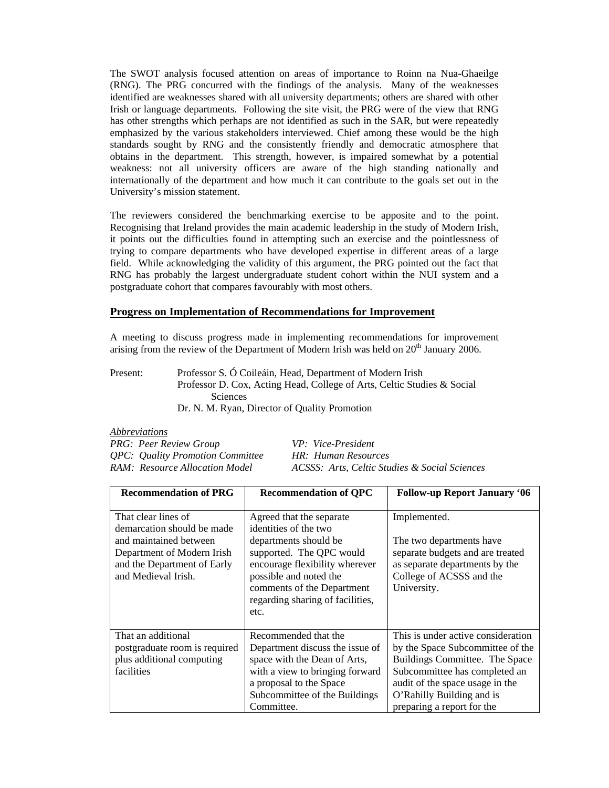The SWOT analysis focused attention on areas of importance to Roinn na Nua-Ghaeilge (RNG). The PRG concurred with the findings of the analysis. Many of the weaknesses identified are weaknesses shared with all university departments; others are shared with other Irish or language departments. Following the site visit, the PRG were of the view that RNG has other strengths which perhaps are not identified as such in the SAR, but were repeatedly emphasized by the various stakeholders interviewed. Chief among these would be the high standards sought by RNG and the consistently friendly and democratic atmosphere that obtains in the department. This strength, however, is impaired somewhat by a potential weakness: not all university officers are aware of the high standing nationally and internationally of the department and how much it can contribute to the goals set out in the University's mission statement.

The reviewers considered the benchmarking exercise to be apposite and to the point. Recognising that Ireland provides the main academic leadership in the study of Modern Irish, it points out the difficulties found in attempting such an exercise and the pointlessness of trying to compare departments who have developed expertise in different areas of a large field. While acknowledging the validity of this argument, the PRG pointed out the fact that RNG has probably the largest undergraduate student cohort within the NUI system and a postgraduate cohort that compares favourably with most others.

## **Progress on Implementation of Recommendations for Improvement**

A meeting to discuss progress made in implementing recommendations for improvement arising from the review of the Department of Modern Irish was held on  $20<sup>th</sup>$  January 2006.

Present: Professor S. Ó Coileáin, Head, Department of Modern Irish Professor D. Cox, Acting Head, College of Arts, Celtic Studies & Social Sciences Dr. N. M. Ryan, Director of Quality Promotion

| <i>Abbreviations</i>                           |                                               |  |  |  |  |
|------------------------------------------------|-----------------------------------------------|--|--|--|--|
| <b>PRG:</b> Peer Review Group                  | VP: Vice-President                            |  |  |  |  |
| <i><b>QPC:</b></i> Quality Promotion Committee | HR: Human Resources                           |  |  |  |  |
| RAM: Resource Allocation Model                 | ACSSS: Arts, Celtic Studies & Social Sciences |  |  |  |  |

| <b>Recommendation of PRG</b>                                                                                                                                    | <b>Recommendation of QPC</b>                                                                                                                                                                                                                 | <b>Follow-up Report January '06</b>                                                                                                                                                                                                     |
|-----------------------------------------------------------------------------------------------------------------------------------------------------------------|----------------------------------------------------------------------------------------------------------------------------------------------------------------------------------------------------------------------------------------------|-----------------------------------------------------------------------------------------------------------------------------------------------------------------------------------------------------------------------------------------|
| That clear lines of<br>demarcation should be made<br>and maintained between<br>Department of Modern Irish<br>and the Department of Early<br>and Medieval Irish. | Agreed that the separate<br>identities of the two<br>departments should be<br>supported. The QPC would<br>encourage flexibility wherever<br>possible and noted the<br>comments of the Department<br>regarding sharing of facilities,<br>etc. | Implemented.<br>The two departments have<br>separate budgets and are treated<br>as separate departments by the<br>College of ACSSS and the<br>University.                                                                               |
| That an additional<br>postgraduate room is required<br>plus additional computing<br>facilities                                                                  | Recommended that the<br>Department discuss the issue of<br>space with the Dean of Arts,<br>with a view to bringing forward<br>a proposal to the Space<br>Subcommittee of the Buildings<br>Committee.                                         | This is under active consideration<br>by the Space Subcommittee of the<br>Buildings Committee. The Space<br>Subcommittee has completed an<br>audit of the space usage in the<br>O'Rahilly Building and is<br>preparing a report for the |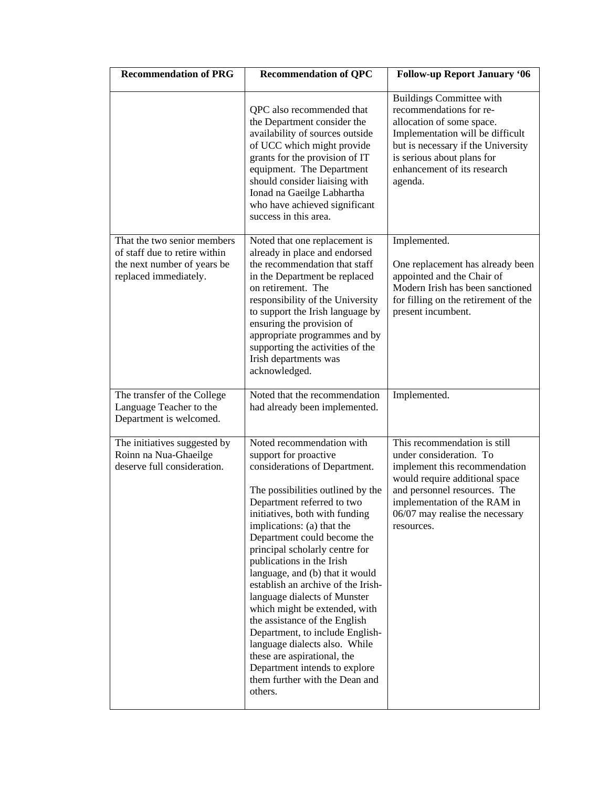| <b>Recommendation of PRG</b>                                                                                         | <b>Recommendation of QPC</b>                                                                                                                                                                                                                                                                                                                                                                                                                                                                                                                                                                                                                                                     | <b>Follow-up Report January '06</b>                                                                                                                                                                                                         |  |  |  |
|----------------------------------------------------------------------------------------------------------------------|----------------------------------------------------------------------------------------------------------------------------------------------------------------------------------------------------------------------------------------------------------------------------------------------------------------------------------------------------------------------------------------------------------------------------------------------------------------------------------------------------------------------------------------------------------------------------------------------------------------------------------------------------------------------------------|---------------------------------------------------------------------------------------------------------------------------------------------------------------------------------------------------------------------------------------------|--|--|--|
|                                                                                                                      | QPC also recommended that<br>the Department consider the<br>availability of sources outside<br>of UCC which might provide<br>grants for the provision of IT<br>equipment. The Department<br>should consider liaising with<br>Ionad na Gaeilge Labhartha<br>who have achieved significant<br>success in this area.                                                                                                                                                                                                                                                                                                                                                                | <b>Buildings Committee with</b><br>recommendations for re-<br>allocation of some space.<br>Implementation will be difficult<br>but is necessary if the University<br>is serious about plans for<br>enhancement of its research<br>agenda.   |  |  |  |
| That the two senior members<br>of staff due to retire within<br>the next number of years be<br>replaced immediately. | Noted that one replacement is<br>already in place and endorsed<br>the recommendation that staff<br>in the Department be replaced<br>on retirement. The<br>responsibility of the University<br>to support the Irish language by<br>ensuring the provision of<br>appropriate programmes and by<br>supporting the activities of the<br>Irish departments was<br>acknowledged.                                                                                                                                                                                                                                                                                                       | Implemented.<br>One replacement has already been<br>appointed and the Chair of<br>Modern Irish has been sanctioned<br>for filling on the retirement of the<br>present incumbent.                                                            |  |  |  |
| The transfer of the College<br>Language Teacher to the<br>Department is welcomed.                                    | Noted that the recommendation<br>had already been implemented.                                                                                                                                                                                                                                                                                                                                                                                                                                                                                                                                                                                                                   | Implemented.                                                                                                                                                                                                                                |  |  |  |
| The initiatives suggested by<br>Roinn na Nua-Ghaeilge<br>deserve full consideration.                                 | Noted recommendation with<br>support for proactive<br>considerations of Department.<br>The possibilities outlined by the<br>Department referred to two<br>initiatives, both with funding<br>implications: (a) that the<br>Department could become the<br>principal scholarly centre for<br>publications in the Irish<br>language, and (b) that it would<br>establish an archive of the Irish-<br>language dialects of Munster<br>which might be extended, with<br>the assistance of the English<br>Department, to include English-<br>language dialects also. While<br>these are aspirational, the<br>Department intends to explore<br>them further with the Dean and<br>others. | This recommendation is still<br>under consideration. To<br>implement this recommendation<br>would require additional space<br>and personnel resources. The<br>implementation of the RAM in<br>06/07 may realise the necessary<br>resources. |  |  |  |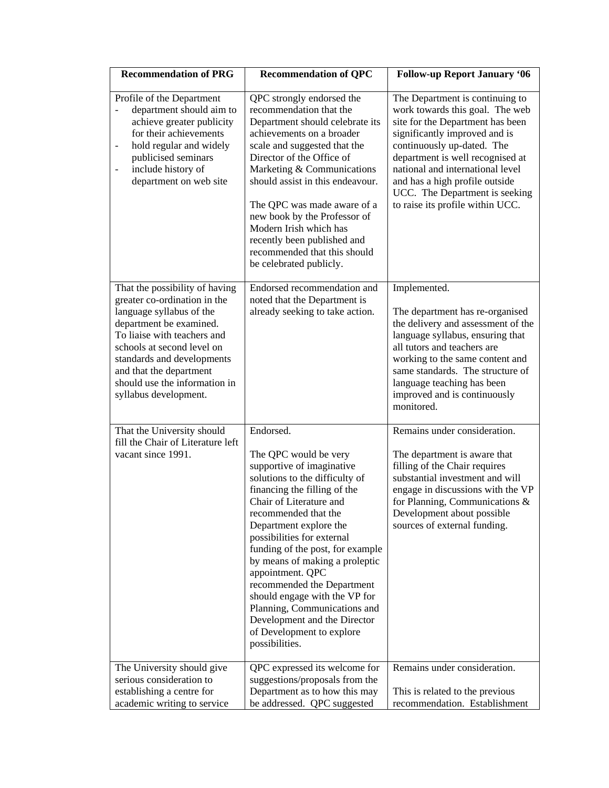| <b>Recommendation of PRG</b>                                                                                                                                                                                                                                                                          | <b>Recommendation of QPC</b>                                                                                                                                                                                                                                                                                                                                                                                                                                                                                         | <b>Follow-up Report January '06</b>                                                                                                                                                                                                                                                                                                                   |
|-------------------------------------------------------------------------------------------------------------------------------------------------------------------------------------------------------------------------------------------------------------------------------------------------------|----------------------------------------------------------------------------------------------------------------------------------------------------------------------------------------------------------------------------------------------------------------------------------------------------------------------------------------------------------------------------------------------------------------------------------------------------------------------------------------------------------------------|-------------------------------------------------------------------------------------------------------------------------------------------------------------------------------------------------------------------------------------------------------------------------------------------------------------------------------------------------------|
| Profile of the Department<br>department should aim to<br>achieve greater publicity<br>for their achievements<br>hold regular and widely<br>$\qquad \qquad \blacksquare$<br>publicised seminars<br>include history of<br>$\qquad \qquad \blacksquare$<br>department on web site                        | QPC strongly endorsed the<br>recommendation that the<br>Department should celebrate its<br>achievements on a broader<br>scale and suggested that the<br>Director of the Office of<br>Marketing & Communications<br>should assist in this endeavour.<br>The QPC was made aware of a<br>new book by the Professor of<br>Modern Irish which has<br>recently been published and<br>recommended that this should<br>be celebrated publicly.                                                                               | The Department is continuing to<br>work towards this goal. The web<br>site for the Department has been<br>significantly improved and is<br>continuously up-dated. The<br>department is well recognised at<br>national and international level<br>and has a high profile outside<br>UCC. The Department is seeking<br>to raise its profile within UCC. |
| That the possibility of having<br>greater co-ordination in the<br>language syllabus of the<br>department be examined.<br>To liaise with teachers and<br>schools at second level on<br>standards and developments<br>and that the department<br>should use the information in<br>syllabus development. | Endorsed recommendation and<br>noted that the Department is<br>already seeking to take action.                                                                                                                                                                                                                                                                                                                                                                                                                       | Implemented.<br>The department has re-organised<br>the delivery and assessment of the<br>language syllabus, ensuring that<br>all tutors and teachers are<br>working to the same content and<br>same standards. The structure of<br>language teaching has been<br>improved and is continuously<br>monitored.                                           |
| That the University should<br>fill the Chair of Literature left<br>vacant since 1991.                                                                                                                                                                                                                 | Endorsed.<br>The QPC would be very<br>supportive of imaginative<br>solutions to the difficulty of<br>financing the filling of the<br>Chair of Literature and<br>recommended that the<br>Department explore the<br>possibilities for external<br>funding of the post, for example<br>by means of making a proleptic<br>appointment. QPC<br>recommended the Department<br>should engage with the VP for<br>Planning, Communications and<br>Development and the Director<br>of Development to explore<br>possibilities. | Remains under consideration.<br>The department is aware that<br>filling of the Chair requires<br>substantial investment and will<br>engage in discussions with the VP<br>for Planning, Communications &<br>Development about possible<br>sources of external funding.                                                                                 |
| The University should give<br>serious consideration to<br>establishing a centre for<br>academic writing to service                                                                                                                                                                                    | QPC expressed its welcome for<br>suggestions/proposals from the<br>Department as to how this may<br>be addressed. QPC suggested                                                                                                                                                                                                                                                                                                                                                                                      | Remains under consideration.<br>This is related to the previous<br>recommendation. Establishment                                                                                                                                                                                                                                                      |